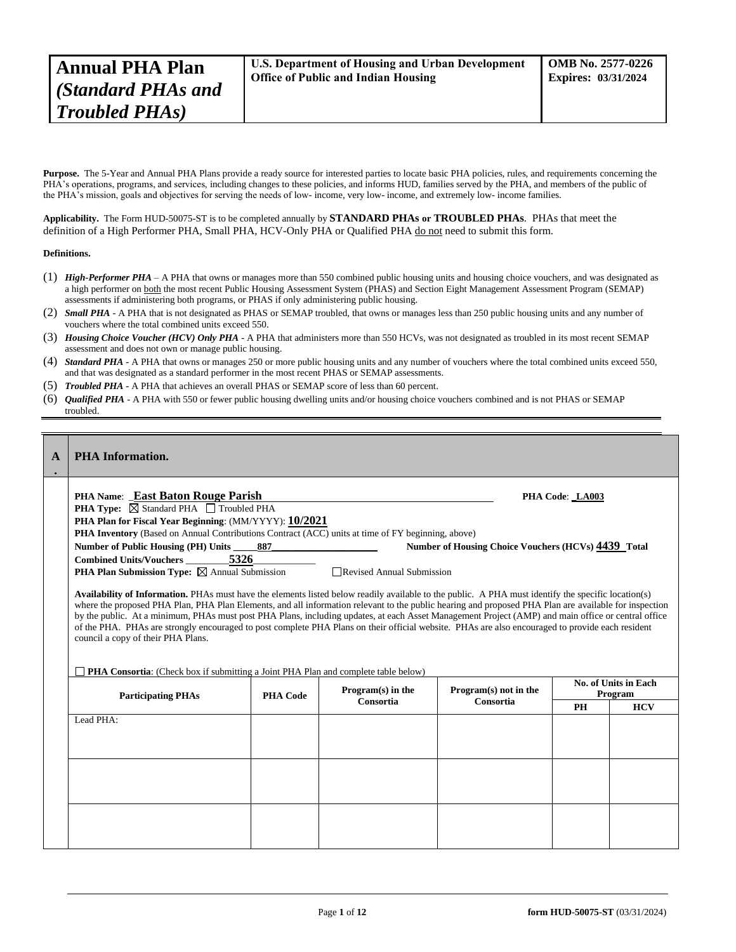Purpose. The 5-Year and Annual PHA Plans provide a ready source for interested parties to locate basic PHA policies, rules, and requirements concerning the PHA's operations, programs, and services, including changes to these policies, and informs HUD, families served by the PHA, and members of the public of the PHA's mission, goals and objectives for serving the needs of low- income, very low- income, and extremely low- income families.

**Applicability.** The Form HUD-50075-ST is to be completed annually by **STANDARD PHAs or TROUBLED PHAs**. PHAs that meet the definition of a High Performer PHA, Small PHA, HCV-Only PHA or Qualified PHA do not need to submit this form.

### **Definitions.**

- (1) *High-Performer PHA* A PHA that owns or manages more than 550 combined public housing units and housing choice vouchers, and was designated as a high performer on both the most recent Public Housing Assessment System (PHAS) and Section Eight Management Assessment Program (SEMAP) assessments if administering both programs, or PHAS if only administering public housing.
- (2) *Small PHA* A PHA that is not designated as PHAS or SEMAP troubled, that owns or manages less than 250 public housing units and any number of vouchers where the total combined units exceed 550.
- (3) *Housing Choice Voucher (HCV) Only PHA* A PHA that administers more than 550 HCVs, was not designated as troubled in its most recent SEMAP assessment and does not own or manage public housing.
- (4) *Standard PHA* A PHA that owns or manages 250 or more public housing units and any number of vouchers where the total combined units exceed 550, and that was designated as a standard performer in the most recent PHAS or SEMAP assessments.
- (5) *Troubled PHA* **-** A PHA that achieves an overall PHAS or SEMAP score of less than 60 percent.
- (6) *Qualified PHA* A PHA with 550 or fewer public housing dwelling units and/or housing choice vouchers combined and is not PHAS or SEMAP troubled.

| A | <b>PHA</b> Information.                                                                                                                                                                                                                                                                                                                                                                                                                   |                 |                             |                                                            |                 |                                 |
|---|-------------------------------------------------------------------------------------------------------------------------------------------------------------------------------------------------------------------------------------------------------------------------------------------------------------------------------------------------------------------------------------------------------------------------------------------|-----------------|-----------------------------|------------------------------------------------------------|-----------------|---------------------------------|
|   | PHA Name: _East Baton Rouge Parish                                                                                                                                                                                                                                                                                                                                                                                                        |                 |                             |                                                            | PHA Code: LA003 |                                 |
|   | PHA Type: ⊠ Standard PHA □ Troubled PHA                                                                                                                                                                                                                                                                                                                                                                                                   |                 |                             |                                                            |                 |                                 |
|   | PHA Plan for Fiscal Year Beginning: (MM/YYYY): 10/2021<br><b>PHA Inventory</b> (Based on Annual Contributions Contract (ACC) units at time of FY beginning, above)                                                                                                                                                                                                                                                                        |                 |                             |                                                            |                 |                                 |
|   | Number of Public Housing (PH) Units                                                                                                                                                                                                                                                                                                                                                                                                       | 887             |                             | <b>Number of Housing Choice Vouchers (HCVs) 4439 Total</b> |                 |                                 |
|   | 5326<br><b>Combined Units/Vouchers</b>                                                                                                                                                                                                                                                                                                                                                                                                    |                 |                             |                                                            |                 |                                 |
|   | <b>PHA Plan Submission Type:</b> $\boxtimes$ Annual Submission                                                                                                                                                                                                                                                                                                                                                                            |                 | □ Revised Annual Submission |                                                            |                 |                                 |
|   | by the public. At a minimum, PHAs must post PHA Plans, including updates, at each Asset Management Project (AMP) and main office or central office<br>of the PHA. PHAs are strongly encouraged to post complete PHA Plans on their official website. PHAs are also encouraged to provide each resident<br>council a copy of their PHA Plans.<br><b>PHA Consortia:</b> (Check box if submitting a Joint PHA Plan and complete table below) |                 | $Program(s)$ in the         | Program(s) not in the                                      |                 | No. of Units in Each<br>Program |
|   | <b>Participating PHAs</b>                                                                                                                                                                                                                                                                                                                                                                                                                 | <b>PHA Code</b> | Consortia                   | Consortia                                                  | PH              | <b>HCV</b>                      |
|   | Lead PHA:                                                                                                                                                                                                                                                                                                                                                                                                                                 |                 |                             |                                                            |                 |                                 |
|   |                                                                                                                                                                                                                                                                                                                                                                                                                                           |                 |                             |                                                            |                 |                                 |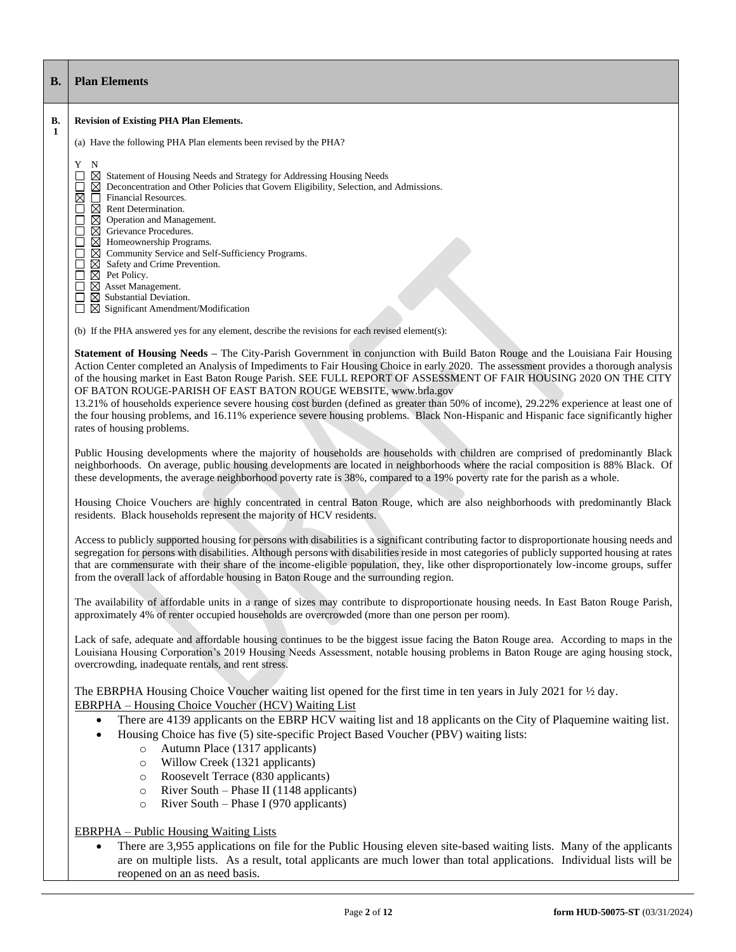| <b>B.</b> | <b>Plan Elements</b>                                                                                                                                                                                                                                                                                                                                                                                                                                                                                                                                                                                                                                                                                                                                                      |
|-----------|---------------------------------------------------------------------------------------------------------------------------------------------------------------------------------------------------------------------------------------------------------------------------------------------------------------------------------------------------------------------------------------------------------------------------------------------------------------------------------------------------------------------------------------------------------------------------------------------------------------------------------------------------------------------------------------------------------------------------------------------------------------------------|
| В.        | <b>Revision of Existing PHA Plan Elements.</b>                                                                                                                                                                                                                                                                                                                                                                                                                                                                                                                                                                                                                                                                                                                            |
| 1         | (a) Have the following PHA Plan elements been revised by the PHA?                                                                                                                                                                                                                                                                                                                                                                                                                                                                                                                                                                                                                                                                                                         |
|           | Y N<br>$\boxtimes$ Statement of Housing Needs and Strategy for Addressing Housing Needs<br>$\boxtimes$ Deconcentration and Other Policies that Govern Eligibility, Selection, and Admissions.<br>⊠<br>Financial Resources.<br>$\boxtimes$ Rent Determination.<br>$\overline{\phantom{a}}$<br>$\Box$<br>$\boxtimes$ Operation and Management.<br>□<br>$\boxtimes$ Grievance Procedures.<br>$\boxtimes$ Homeownership Programs.<br>⊠ Community Service and Self-Sufficiency Programs.<br>$\boxtimes$ Safety and Crime Prevention.<br>$\Box$<br>$\boxtimes$ Pet Policy.<br>$\Box$<br>$\boxtimes$ Asset Management.<br>ப<br>$\boxtimes$ Substantial Deviation.<br>$\Box$ Significant Amendment/Modification                                                                   |
|           | (b) If the PHA answered yes for any element, describe the revisions for each revised element(s):                                                                                                                                                                                                                                                                                                                                                                                                                                                                                                                                                                                                                                                                          |
|           | Statement of Housing Needs - The City-Parish Government in conjunction with Build Baton Rouge and the Louisiana Fair Housing<br>Action Center completed an Analysis of Impediments to Fair Housing Choice in early 2020. The assessment provides a thorough analysis<br>of the housing market in East Baton Rouge Parish. SEE FULL REPORT OF ASSESSMENT OF FAIR HOUSING 2020 ON THE CITY<br>OF BATON ROUGE-PARISH OF EAST BATON ROUGE WEBSITE, www.brla.gov<br>13.21% of households experience severe housing cost burden (defined as greater than 50% of income), 29.22% experience at least one of<br>the four housing problems, and 16.11% experience severe housing problems. Black Non-Hispanic and Hispanic face significantly higher<br>rates of housing problems. |
|           | Public Housing developments where the majority of households are households with children are comprised of predominantly Black<br>neighborhoods. On average, public housing developments are located in neighborhoods where the racial composition is 88% Black. Of<br>these developments, the average neighborhood poverty rate is 38%, compared to a 19% poverty rate for the parish as a whole.                                                                                                                                                                                                                                                                                                                                                                        |
|           | Housing Choice Vouchers are highly concentrated in central Baton Rouge, which are also neighborhoods with predominantly Black<br>residents. Black households represent the majority of HCV residents.                                                                                                                                                                                                                                                                                                                                                                                                                                                                                                                                                                     |
|           | Access to publicly supported housing for persons with disabilities is a significant contributing factor to disproportionate housing needs and<br>segregation for persons with disabilities. Although persons with disabilities reside in most categories of publicly supported housing at rates<br>that are commensurate with their share of the income-eligible population, they, like other disproportionately low-income groups, suffer<br>from the overall lack of affordable housing in Baton Rouge and the surrounding region.                                                                                                                                                                                                                                      |
|           | The availability of affordable units in a range of sizes may contribute to disproportionate housing needs. In East Baton Rouge Parish,<br>approximately 4% of renter occupied households are overcrowded (more than one person per room).                                                                                                                                                                                                                                                                                                                                                                                                                                                                                                                                 |
|           | Lack of safe, adequate and affordable housing continues to be the biggest issue facing the Baton Rouge area. According to maps in the<br>Louisiana Housing Corporation's 2019 Housing Needs Assessment, notable housing problems in Baton Rouge are aging housing stock,<br>overcrowding, inadequate rentals, and rent stress.                                                                                                                                                                                                                                                                                                                                                                                                                                            |
|           | The EBRPHA Housing Choice Voucher waiting list opened for the first time in ten years in July 2021 for $\frac{1}{2}$ day.<br><b>EBRPHA</b> – Housing Choice Voucher (HCV) Waiting List<br>There are 4139 applicants on the EBRP HCV waiting list and 18 applicants on the City of Plaquemine waiting list.<br>$\bullet$<br>Housing Choice has five (5) site-specific Project Based Voucher (PBV) waiting lists:<br>$\bullet$<br>Autumn Place (1317 applicants)<br>$\circ$                                                                                                                                                                                                                                                                                                 |
|           | Willow Creek (1321 applicants)<br>$\circ$<br>Roosevelt Terrace (830 applicants)<br>$\circ$<br>River South – Phase II (1148 applicants)<br>$\circ$<br>River South - Phase I (970 applicants)<br>$\circ$                                                                                                                                                                                                                                                                                                                                                                                                                                                                                                                                                                    |
|           | <b>EBRPHA</b> – Public Housing Waiting Lists<br>There are 3,955 applications on file for the Public Housing eleven site-based waiting lists. Many of the applicants<br>are on multiple lists. As a result, total applicants are much lower than total applications. Individual lists will be<br>reopened on an as need basis.                                                                                                                                                                                                                                                                                                                                                                                                                                             |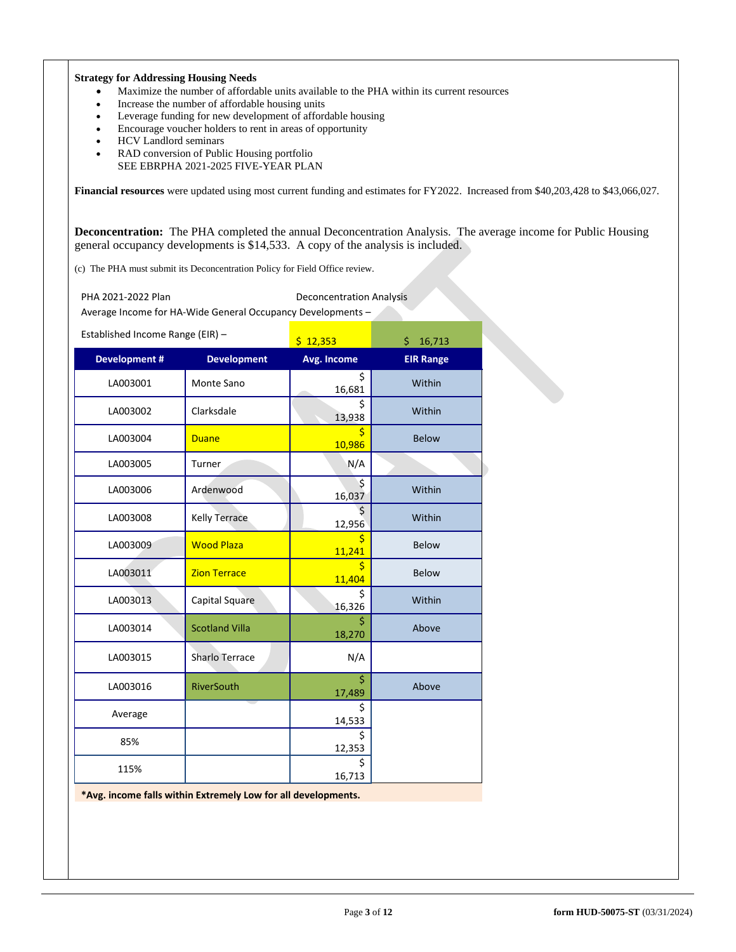## **Strategy for Addressing Housing Needs**

- Maximize the number of affordable units available to the PHA within its current resources
- Increase the number of affordable housing units
- Leverage funding for new development of affordable housing
- Encourage voucher holders to rent in areas of opportunity
- HCV Landlord seminars
- RAD conversion of Public Housing portfolio SEE EBRPHA 2021-2025 FIVE-YEAR PLAN

**Financial resources** were updated using most current funding and estimates for FY2022. Increased from \$40,203,428 to \$43,066,027.

**Deconcentration:** The PHA completed the annual Deconcentration Analysis. The average income for Public Housing general occupancy developments is \$14,533. A copy of the analysis is included.

(c) The PHA must submit its Deconcentration Policy for Field Office review.

PHA 2021-2022 Plan Deconcentration Analysis

Average Income for HA-Wide General Occupancy Developments –

| Established Income Range (EIR) - |  |  |
|----------------------------------|--|--|
|                                  |  |  |

| $\blacksquare$      |                       | \$12,353           | \$<br>16,713     |
|---------------------|-----------------------|--------------------|------------------|
| <b>Development#</b> | <b>Development</b>    | <b>Avg. Income</b> | <b>EIR Range</b> |
| LA003001            | Monte Sano            | \$<br>16,681       | Within           |
| LA003002            | Clarksdale            | Ś<br>13,938        | Within           |
| LA003004            | <b>Duane</b>          | \$<br>10,986       | <b>Below</b>     |
| LA003005            | Turner                | N/A                |                  |
| LA003006            | Ardenwood             | \$<br>16,037       | Within           |
| LA003008            | <b>Kelly Terrace</b>  | Ś.<br>12,956       | Within           |
| LA003009            | <b>Wood Plaza</b>     | \$<br>11,241       | <b>Below</b>     |
| LA003011            | <b>Zion Terrace</b>   | \$<br>11,404       | <b>Below</b>     |
| LA003013            | Capital Square        | \$<br>16,326       | Within           |
| LA003014            | <b>Scotland Villa</b> | \$<br>18,270       | Above            |
| LA003015            | Sharlo Terrace        | N/A                |                  |
| LA003016            | <b>RiverSouth</b>     | Ś.<br>17,489       | Above            |
| Average             |                       | \$<br>14,533       |                  |
| 85%                 |                       | \$<br>12,353       |                  |
| 115%                |                       | \$<br>16,713       |                  |

**\*Avg. income falls within Extremely Low for all developments.**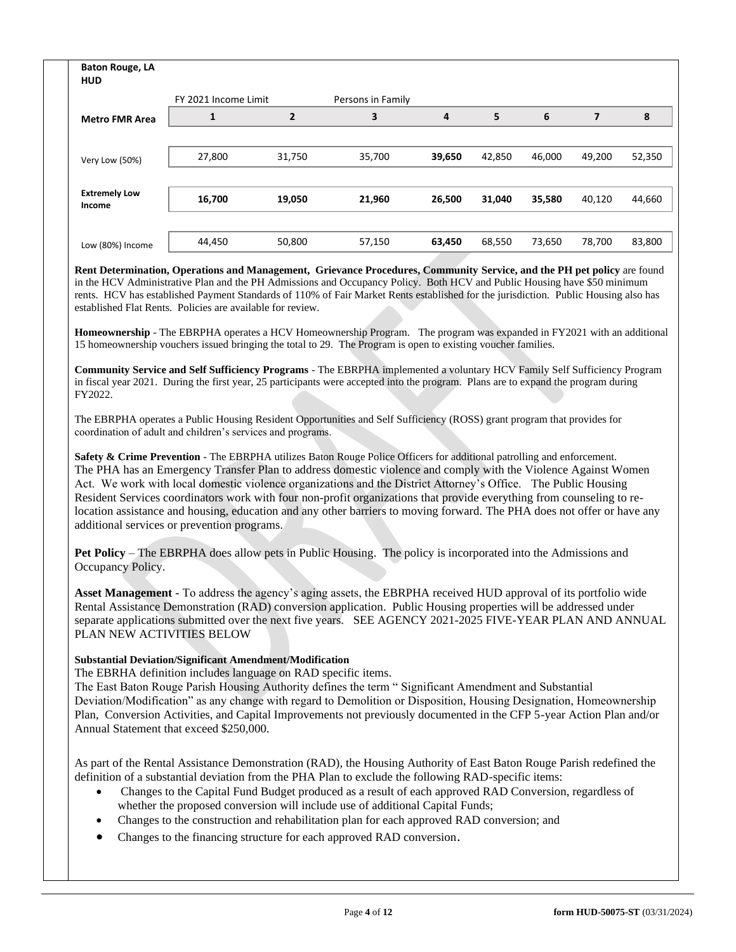| <b>Baton Rouge, LA</b><br><b>HUD</b> |                      |                |                   |        |        |        |                |        |
|--------------------------------------|----------------------|----------------|-------------------|--------|--------|--------|----------------|--------|
|                                      | FY 2021 Income Limit |                | Persons in Family |        |        |        |                |        |
| <b>Metro FMR Area</b>                |                      | $\overline{2}$ | 3                 | 4      | 5      | 6      | $\overline{7}$ | 8      |
|                                      |                      |                |                   |        |        |        |                |        |
| Very Low (50%)                       | 27,800               | 31,750         | 35,700            | 39,650 | 42,850 | 46,000 | 49,200         | 52,350 |
|                                      |                      |                |                   |        |        |        |                |        |
| <b>Extremely Low</b><br>Income       | 16,700               | 19,050         | 21,960            | 26,500 | 31,040 | 35,580 | 40,120         | 44,660 |
|                                      |                      |                |                   |        |        |        |                |        |
| Low (80%) Income                     | 44,450               | 50,800         | 57,150            | 63,450 | 68,550 | 73,650 | 78,700         | 83,800 |

**Rent Determination, Operations and Management, Grievance Procedures, Community Service, and the PH pet policy** are found in the HCV Administrative Plan and the PH Admissions and Occupancy Policy. Both HCV and Public Housing have \$50 minimum rents. HCV has established Payment Standards of 110% of Fair Market Rents established for the jurisdiction. Public Housing also has established Flat Rents. Policies are available for review.

**Homeownership** - The EBRPHA operates a HCV Homeownership Program. The program was expanded in FY2021 with an additional 15 homeownership vouchers issued bringing the total to 29. The Program is open to existing voucher families.

**Community Service and Self Sufficiency Programs** - The EBRPHA implemented a voluntary HCV Family Self Sufficiency Program in fiscal year 2021. During the first year, 25 participants were accepted into the program. Plans are to expand the program during FY2022.

The EBRPHA operates a Public Housing Resident Opportunities and Self Sufficiency (ROSS) grant program that provides for coordination of adult and children's services and programs.

**Safety & Crime Prevention** - The EBRPHA utilizes Baton Rouge Police Officers for additional patrolling and enforcement. The PHA has an Emergency Transfer Plan to address domestic violence and comply with the Violence Against Women Act. We work with local domestic violence organizations and the District Attorney's Office. The Public Housing Resident Services coordinators work with four non-profit organizations that provide everything from counseling to relocation assistance and housing, education and any other barriers to moving forward. The PHA does not offer or have any additional services or prevention programs.

**Pet Policy** – The EBRPHA does allow pets in Public Housing. The policy is incorporated into the Admissions and Occupancy Policy.

**Asset Management** - To address the agency's aging assets, the EBRPHA received HUD approval of its portfolio wide Rental Assistance Demonstration (RAD) conversion application. Public Housing properties will be addressed under separate applications submitted over the next five years. SEE AGENCY 2021-2025 FIVE-YEAR PLAN AND ANNUAL PLAN NEW ACTIVITIES BELOW

# **Substantial Deviation/Significant Amendment/Modification**

The EBRHA definition includes language on RAD specific items.

The East Baton Rouge Parish Housing Authority defines the term " Significant Amendment and Substantial Deviation/Modification" as any change with regard to Demolition or Disposition, Housing Designation, Homeownership Plan, Conversion Activities, and Capital Improvements not previously documented in the CFP 5-year Action Plan and/or Annual Statement that exceed \$250,000.

As part of the Rental Assistance Demonstration (RAD), the Housing Authority of East Baton Rouge Parish redefined the definition of a substantial deviation from the PHA Plan to exclude the following RAD-specific items:

- Changes to the Capital Fund Budget produced as a result of each approved RAD Conversion, regardless of whether the proposed conversion will include use of additional Capital Funds;
- Changes to the construction and rehabilitation plan for each approved RAD conversion; and
- Changes to the financing structure for each approved RAD conversion.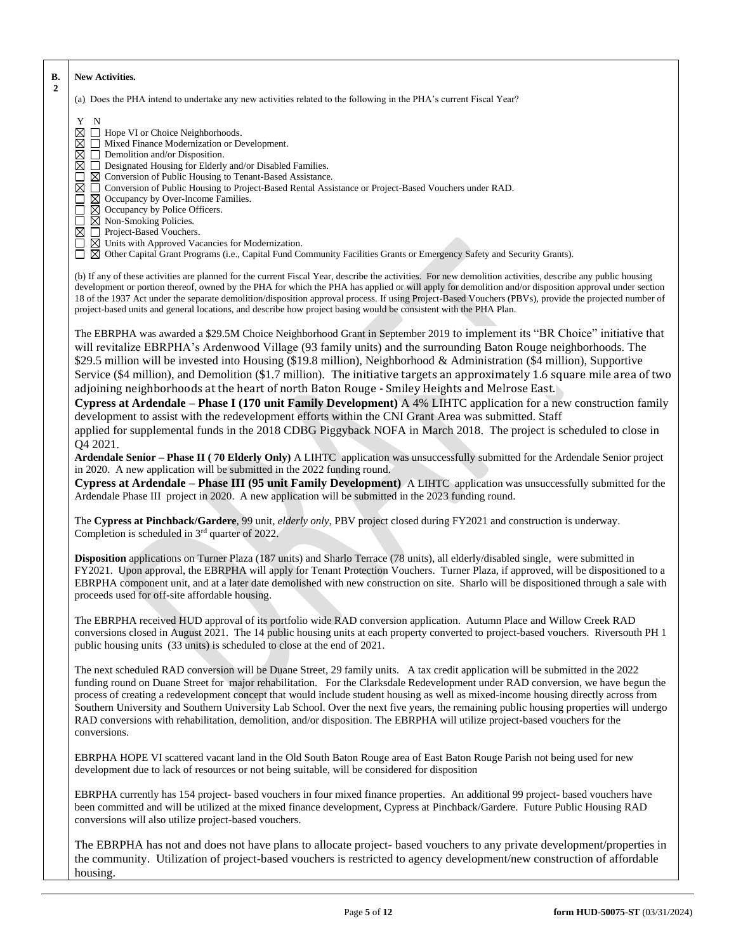| В.<br>$\mathbf{2}$ | New Activities.                                                                                                                                                                                                                                                                                                                                                                                                                                                                                                                                                                                                                                                                                                                                                                                                                                                                                                                                                    |
|--------------------|--------------------------------------------------------------------------------------------------------------------------------------------------------------------------------------------------------------------------------------------------------------------------------------------------------------------------------------------------------------------------------------------------------------------------------------------------------------------------------------------------------------------------------------------------------------------------------------------------------------------------------------------------------------------------------------------------------------------------------------------------------------------------------------------------------------------------------------------------------------------------------------------------------------------------------------------------------------------|
|                    | (a) Does the PHA intend to undertake any new activities related to the following in the PHA's current Fiscal Year?                                                                                                                                                                                                                                                                                                                                                                                                                                                                                                                                                                                                                                                                                                                                                                                                                                                 |
|                    | Y N<br>$\boxtimes \square$ Hope VI or Choice Neighborhoods.<br>$\boxtimes \square$ Mixed Finance Modernization or Development.<br>$\boxtimes$ $\Box$ Demolition and/or Disposition.<br>□ Designated Housing for Elderly and/or Disabled Families.<br>⊠<br>$\boxtimes$ Conversion of Public Housing to Tenant-Based Assistance.<br>⊠<br>□ Conversion of Public Housing to Project-Based Rental Assistance or Project-Based Vouchers under RAD.<br>$\boxtimes$ Occupancy by Over-Income Families.<br>$\boxtimes$ Occupancy by Police Officers.<br>□<br>$\boxtimes$ Non-Smoking Policies.<br>$\boxtimes$ $\Box$ Project-Based Vouchers.<br>$\Box$ $\boxtimes$ Units with Approved Vacancies for Modernization.<br>□ ⊠ Other Capital Grant Programs (i.e., Capital Fund Community Facilities Grants or Emergency Safety and Security Grants).                                                                                                                          |
|                    | (b) If any of these activities are planned for the current Fiscal Year, describe the activities. For new demolition activities, describe any public housing<br>development or portion thereof, owned by the PHA for which the PHA has applied or will apply for demolition and/or disposition approval under section<br>18 of the 1937 Act under the separate demolition/disposition approval process. If using Project-Based Vouchers (PBVs), provide the projected number of<br>project-based units and general locations, and describe how project basing would be consistent with the PHA Plan.                                                                                                                                                                                                                                                                                                                                                                |
|                    | The EBRPHA was awarded a \$29.5M Choice Neighborhood Grant in September 2019 to implement its "BR Choice" initiative that<br>will revitalize EBRPHA's Ardenwood Village (93 family units) and the surrounding Baton Rouge neighborhoods. The<br>\$29.5 million will be invested into Housing (\$19.8 million), Neighborhood & Administration (\$4 million), Supportive<br>Service (\$4 million), and Demolition (\$1.7 million). The initiative targets an approximately 1.6 square mile area of two<br>adjoining neighborhoods at the heart of north Baton Rouge - Smiley Heights and Melrose East.<br>Cypress at Ardendale – Phase I (170 unit Family Development) A 4% LIHTC application for a new construction family<br>development to assist with the redevelopment efforts within the CNI Grant Area was submitted. Staff<br>applied for supplemental funds in the 2018 CDBG Piggyback NOFA in March 2018. The project is scheduled to close in<br>Q4 2021. |
|                    | Ardendale Senior - Phase II (70 Elderly Only) A LIHTC application was unsuccessfully submitted for the Ardendale Senior project<br>in 2020. A new application will be submitted in the 2022 funding round.<br>Cypress at Ardendale - Phase III (95 unit Family Development) A LIHTC application was unsuccessfully submitted for the<br>Ardendale Phase III project in 2020. A new application will be submitted in the 2023 funding round.                                                                                                                                                                                                                                                                                                                                                                                                                                                                                                                        |
|                    | The Cypress at Pinchback/Gardere, 99 unit, elderly only, PBV project closed during FY2021 and construction is underway.<br>Completion is scheduled in 3 <sup>rd</sup> quarter of 2022.                                                                                                                                                                                                                                                                                                                                                                                                                                                                                                                                                                                                                                                                                                                                                                             |
|                    | Disposition applications on Turner Plaza (187 units) and Sharlo Terrace (78 units), all elderly/disabled single, were submitted in<br>FY2021. Upon approval, the EBRPHA will apply for Tenant Protection Vouchers. Turner Plaza, if approved, will be dispositioned to a<br>EBRPHA component unit, and at a later date demolished with new construction on site. Sharlo will be dispositioned through a sale with<br>proceeds used for off-site affordable housing.                                                                                                                                                                                                                                                                                                                                                                                                                                                                                                |
|                    | The EBRPHA received HUD approval of its portfolio wide RAD conversion application. Autumn Place and Willow Creek RAD<br>conversions closed in August 2021. The 14 public housing units at each property converted to project-based vouchers. Riversouth PH 1<br>public housing units (33 units) is scheduled to close at the end of 2021.                                                                                                                                                                                                                                                                                                                                                                                                                                                                                                                                                                                                                          |
|                    | The next scheduled RAD conversion will be Duane Street, 29 family units. A tax credit application will be submitted in the 2022<br>funding round on Duane Street for major rehabilitation. For the Clarksdale Redevelopment under RAD conversion, we have begun the<br>process of creating a redevelopment concept that would include student housing as well as mixed-income housing directly across from<br>Southern University and Southern University Lab School. Over the next five years, the remaining public housing properties will undergo<br>RAD conversions with rehabilitation, demolition, and/or disposition. The EBRPHA will utilize project-based vouchers for the<br>conversions.                                                                                                                                                                                                                                                                |
|                    | EBRPHA HOPE VI scattered vacant land in the Old South Baton Rouge area of East Baton Rouge Parish not being used for new<br>development due to lack of resources or not being suitable, will be considered for disposition                                                                                                                                                                                                                                                                                                                                                                                                                                                                                                                                                                                                                                                                                                                                         |
|                    | EBRPHA currently has 154 project- based vouchers in four mixed finance properties. An additional 99 project- based vouchers have<br>been committed and will be utilized at the mixed finance development, Cypress at Pinchback/Gardere. Future Public Housing RAD<br>conversions will also utilize project-based vouchers.                                                                                                                                                                                                                                                                                                                                                                                                                                                                                                                                                                                                                                         |
|                    | The EBRPHA has not and does not have plans to allocate project-based vouchers to any private development/properties in<br>the community. Utilization of project-based vouchers is restricted to agency development/new construction of affordable<br>housing.                                                                                                                                                                                                                                                                                                                                                                                                                                                                                                                                                                                                                                                                                                      |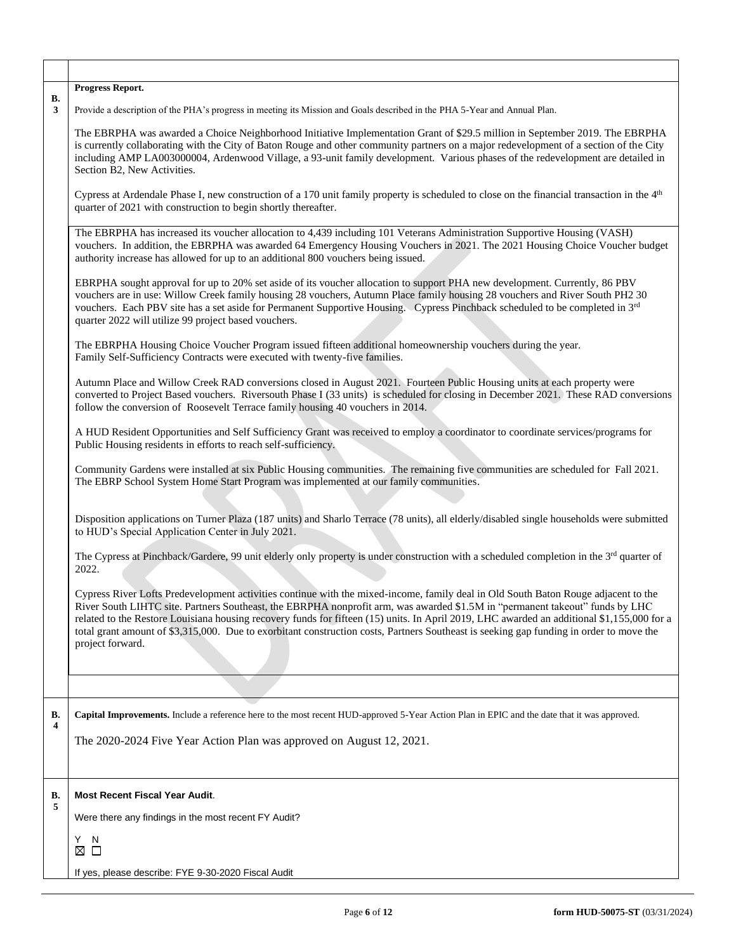| <b>B.</b> | Progress Report.                                                                                                                                                                                                                                                                                                                                                                                                                                                                                                                                                                |
|-----------|---------------------------------------------------------------------------------------------------------------------------------------------------------------------------------------------------------------------------------------------------------------------------------------------------------------------------------------------------------------------------------------------------------------------------------------------------------------------------------------------------------------------------------------------------------------------------------|
| 3         | Provide a description of the PHA's progress in meeting its Mission and Goals described in the PHA 5-Year and Annual Plan.                                                                                                                                                                                                                                                                                                                                                                                                                                                       |
|           | The EBRPHA was awarded a Choice Neighborhood Initiative Implementation Grant of \$29.5 million in September 2019. The EBRPHA<br>is currently collaborating with the City of Baton Rouge and other community partners on a major redevelopment of a section of the City<br>including AMP LA003000004, Ardenwood Village, a 93-unit family development. Various phases of the redevelopment are detailed in<br>Section B2, New Activities.                                                                                                                                        |
|           | Cypress at Ardendale Phase I, new construction of a 170 unit family property is scheduled to close on the financial transaction in the 4 <sup>th</sup><br>quarter of 2021 with construction to begin shortly thereafter.                                                                                                                                                                                                                                                                                                                                                        |
|           | The EBRPHA has increased its voucher allocation to 4,439 including 101 Veterans Administration Supportive Housing (VASH)<br>vouchers. In addition, the EBRPHA was awarded 64 Emergency Housing Vouchers in 2021. The 2021 Housing Choice Voucher budget<br>authority increase has allowed for up to an additional 800 vouchers being issued.                                                                                                                                                                                                                                    |
|           | EBRPHA sought approval for up to 20% set aside of its voucher allocation to support PHA new development. Currently, 86 PBV<br>vouchers are in use: Willow Creek family housing 28 vouchers, Autumn Place family housing 28 vouchers and River South PH2 30<br>vouchers. Each PBV site has a set aside for Permanent Supportive Housing. Cypress Pinchback scheduled to be completed in 3rd<br>quarter 2022 will utilize 99 project based vouchers.                                                                                                                              |
|           | The EBRPHA Housing Choice Voucher Program issued fifteen additional homeownership vouchers during the year.<br>Family Self-Sufficiency Contracts were executed with twenty-five families.                                                                                                                                                                                                                                                                                                                                                                                       |
|           | Autumn Place and Willow Creek RAD conversions closed in August 2021. Fourteen Public Housing units at each property were<br>converted to Project Based vouchers. Riversouth Phase I (33 units) is scheduled for closing in December 2021. These RAD conversions<br>follow the conversion of Roosevelt Terrace family housing 40 vouchers in 2014.                                                                                                                                                                                                                               |
|           | A HUD Resident Opportunities and Self Sufficiency Grant was received to employ a coordinator to coordinate services/programs for<br>Public Housing residents in efforts to reach self-sufficiency.                                                                                                                                                                                                                                                                                                                                                                              |
|           | Community Gardens were installed at six Public Housing communities. The remaining five communities are scheduled for Fall 2021.<br>The EBRP School System Home Start Program was implemented at our family communities.                                                                                                                                                                                                                                                                                                                                                         |
|           | Disposition applications on Turner Plaza (187 units) and Sharlo Terrace (78 units), all elderly/disabled single households were submitted<br>to HUD's Special Application Center in July 2021.                                                                                                                                                                                                                                                                                                                                                                                  |
|           | The Cypress at Pinchback/Gardere, 99 unit elderly only property is under construction with a scheduled completion in the $3rd$ quarter of<br>2022.                                                                                                                                                                                                                                                                                                                                                                                                                              |
|           | Cypress River Lofts Predevelopment activities continue with the mixed-income, family deal in Old South Baton Rouge adjacent to the<br>River South LIHTC site. Partners Southeast, the EBRPHA nonprofit arm, was awarded \$1.5M in "permanent takeout" funds by LHC<br>related to the Restore Louisiana housing recovery funds for fifteen (15) units. In April 2019, LHC awarded an additional \$1,155,000 for a<br>total grant amount of \$3,315,000. Due to exorbitant construction costs, Partners Southeast is seeking gap funding in order to move the<br>project forward. |
|           |                                                                                                                                                                                                                                                                                                                                                                                                                                                                                                                                                                                 |
|           |                                                                                                                                                                                                                                                                                                                                                                                                                                                                                                                                                                                 |
| В.        | Capital Improvements. Include a reference here to the most recent HUD-approved 5-Year Action Plan in EPIC and the date that it was approved.                                                                                                                                                                                                                                                                                                                                                                                                                                    |
| 4         | The 2020-2024 Five Year Action Plan was approved on August 12, 2021.                                                                                                                                                                                                                                                                                                                                                                                                                                                                                                            |
|           |                                                                                                                                                                                                                                                                                                                                                                                                                                                                                                                                                                                 |
| В.        | <b>Most Recent Fiscal Year Audit.</b>                                                                                                                                                                                                                                                                                                                                                                                                                                                                                                                                           |
| 5         | Were there any findings in the most recent FY Audit?                                                                                                                                                                                                                                                                                                                                                                                                                                                                                                                            |
|           | Y.<br>N<br>$\Box$<br>⊠                                                                                                                                                                                                                                                                                                                                                                                                                                                                                                                                                          |
|           | If yes, please describe: FYE 9-30-2020 Fiscal Audit                                                                                                                                                                                                                                                                                                                                                                                                                                                                                                                             |

T

٦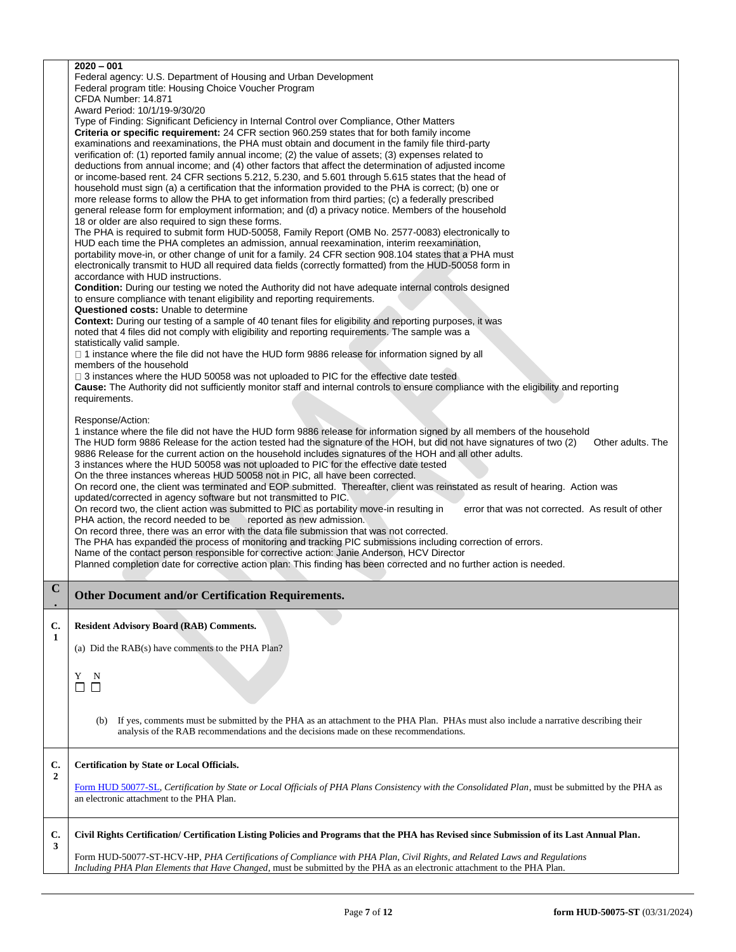|                      | $2020 - 001$<br>Federal agency: U.S. Department of Housing and Urban Development<br>Federal program title: Housing Choice Voucher Program<br>CFDA Number: 14.871<br>Award Period: 10/1/19-9/30/20<br>Type of Finding: Significant Deficiency in Internal Control over Compliance, Other Matters<br>Criteria or specific requirement: 24 CFR section 960.259 states that for both family income<br>examinations and reexaminations, the PHA must obtain and document in the family file third-party<br>verification of: (1) reported family annual income; (2) the value of assets; (3) expenses related to<br>deductions from annual income; and (4) other factors that affect the determination of adjusted income<br>or income-based rent. 24 CFR sections 5.212, 5.230, and 5.601 through 5.615 states that the head of<br>household must sign (a) a certification that the information provided to the PHA is correct; (b) one or<br>more release forms to allow the PHA to get information from third parties; (c) a federally prescribed<br>general release form for employment information; and (d) a privacy notice. Members of the household<br>18 or older are also required to sign these forms.<br>The PHA is required to submit form HUD-50058, Family Report (OMB No. 2577-0083) electronically to<br>HUD each time the PHA completes an admission, annual reexamination, interim reexamination,<br>portability move-in, or other change of unit for a family. 24 CFR section 908.104 states that a PHA must<br>electronically transmit to HUD all required data fields (correctly formatted) from the HUD-50058 form in<br>accordance with HUD instructions.<br><b>Condition:</b> During our testing we noted the Authority did not have adequate internal controls designed<br>to ensure compliance with tenant eligibility and reporting requirements.<br><b>Questioned costs: Unable to determine</b><br><b>Context:</b> During our testing of a sample of 40 tenant files for eligibility and reporting purposes, it was<br>noted that 4 files did not comply with eligibility and reporting requirements. The sample was a<br>statistically valid sample.<br>□ 1 instance where the file did not have the HUD form 9886 release for information signed by all<br>members of the household<br>$\Box$ 3 instances where the HUD 50058 was not uploaded to PIC for the effective date tested<br>Cause: The Authority did not sufficiently monitor staff and internal controls to ensure compliance with the eligibility and reporting<br>requirements.<br>Response/Action:<br>1 instance where the file did not have the HUD form 9886 release for information signed by all members of the household<br>The HUD form 9886 Release for the action tested had the signature of the HOH, but did not have signatures of two (2)<br>Other adults. The<br>9886 Release for the current action on the household includes signatures of the HOH and all other adults.<br>3 instances where the HUD 50058 was not uploaded to PIC for the effective date tested<br>On the three instances whereas HUD 50058 not in PIC, all have been corrected.<br>On record one, the client was terminated and EOP submitted. Thereafter, client was reinstated as result of hearing. Action was<br>updated/corrected in agency software but not transmitted to PIC.<br>On record two, the client action was submitted to PIC as portability move-in resulting in<br>error that was not corrected. As result of other<br>PHA action, the record needed to be<br>reported as new admission.<br>On record three, there was an error with the data file submission that was not corrected.<br>The PHA has expanded the process of monitoring and tracking PIC submissions including correction of errors.<br>Name of the contact person responsible for corrective action: Janie Anderson, HCV Director<br>Planned completion date for corrective action plan: This finding has been corrected and no further action is needed. |
|----------------------|--------------------------------------------------------------------------------------------------------------------------------------------------------------------------------------------------------------------------------------------------------------------------------------------------------------------------------------------------------------------------------------------------------------------------------------------------------------------------------------------------------------------------------------------------------------------------------------------------------------------------------------------------------------------------------------------------------------------------------------------------------------------------------------------------------------------------------------------------------------------------------------------------------------------------------------------------------------------------------------------------------------------------------------------------------------------------------------------------------------------------------------------------------------------------------------------------------------------------------------------------------------------------------------------------------------------------------------------------------------------------------------------------------------------------------------------------------------------------------------------------------------------------------------------------------------------------------------------------------------------------------------------------------------------------------------------------------------------------------------------------------------------------------------------------------------------------------------------------------------------------------------------------------------------------------------------------------------------------------------------------------------------------------------------------------------------------------------------------------------------------------------------------------------------------------------------------------------------------------------------------------------------------------------------------------------------------------------------------------------------------------------------------------------------------------------------------------------------------------------------------------------------------------------------------------------------------------------------------------------------------------------------------------------------------------------------------------------------------------------------------------------------------------------------------------------------------------------------------------------------------------------------------------------------------------------------------------------------------------------------------------------------------------------------------------------------------------------------------------------------------------------------------------------------------------------------------------------------------------------------------------------------------------------------------------------------------------------------------------------------------------------------------------------------------------------------------------------------------------------------------------------------------------------------------------------------------------------------------------------------------------------------------------------------------------------------------------------------------------------------------------------------------------------------------------------------------------------------------------------------------------------------------------------------------------------------------------------------------------------------------------------------------|
| $\mathbf C$          | Other Document and/or Certification Requirements.                                                                                                                                                                                                                                                                                                                                                                                                                                                                                                                                                                                                                                                                                                                                                                                                                                                                                                                                                                                                                                                                                                                                                                                                                                                                                                                                                                                                                                                                                                                                                                                                                                                                                                                                                                                                                                                                                                                                                                                                                                                                                                                                                                                                                                                                                                                                                                                                                                                                                                                                                                                                                                                                                                                                                                                                                                                                                                                                                                                                                                                                                                                                                                                                                                                                                                                                                                                                                                                                                                                                                                                                                                                                                                                                                                                                                                                                                                                                                                        |
| C.<br>$\mathbf{1}$   | <b>Resident Advisory Board (RAB) Comments.</b><br>(a) Did the RAB(s) have comments to the PHA Plan?<br>Y<br>N<br>$\Box$<br>$\Box$<br>If yes, comments must be submitted by the PHA as an attachment to the PHA Plan. PHAs must also include a narrative describing their<br>(b)<br>analysis of the RAB recommendations and the decisions made on these recommendations.                                                                                                                                                                                                                                                                                                                                                                                                                                                                                                                                                                                                                                                                                                                                                                                                                                                                                                                                                                                                                                                                                                                                                                                                                                                                                                                                                                                                                                                                                                                                                                                                                                                                                                                                                                                                                                                                                                                                                                                                                                                                                                                                                                                                                                                                                                                                                                                                                                                                                                                                                                                                                                                                                                                                                                                                                                                                                                                                                                                                                                                                                                                                                                                                                                                                                                                                                                                                                                                                                                                                                                                                                                                  |
| C.<br>$\overline{2}$ | <b>Certification by State or Local Officials.</b><br>Form HUD 50077-SL, Certification by State or Local Officials of PHA Plans Consistency with the Consolidated Plan, must be submitted by the PHA as<br>an electronic attachment to the PHA Plan.                                                                                                                                                                                                                                                                                                                                                                                                                                                                                                                                                                                                                                                                                                                                                                                                                                                                                                                                                                                                                                                                                                                                                                                                                                                                                                                                                                                                                                                                                                                                                                                                                                                                                                                                                                                                                                                                                                                                                                                                                                                                                                                                                                                                                                                                                                                                                                                                                                                                                                                                                                                                                                                                                                                                                                                                                                                                                                                                                                                                                                                                                                                                                                                                                                                                                                                                                                                                                                                                                                                                                                                                                                                                                                                                                                      |
| C.<br>3              | Civil Rights Certification/ Certification Listing Policies and Programs that the PHA has Revised since Submission of its Last Annual Plan.<br>Form HUD-50077-ST-HCV-HP, PHA Certifications of Compliance with PHA Plan, Civil Rights, and Related Laws and Regulations<br>Including PHA Plan Elements that Have Changed, must be submitted by the PHA as an electronic attachment to the PHA Plan.                                                                                                                                                                                                                                                                                                                                                                                                                                                                                                                                                                                                                                                                                                                                                                                                                                                                                                                                                                                                                                                                                                                                                                                                                                                                                                                                                                                                                                                                                                                                                                                                                                                                                                                                                                                                                                                                                                                                                                                                                                                                                                                                                                                                                                                                                                                                                                                                                                                                                                                                                                                                                                                                                                                                                                                                                                                                                                                                                                                                                                                                                                                                                                                                                                                                                                                                                                                                                                                                                                                                                                                                                       |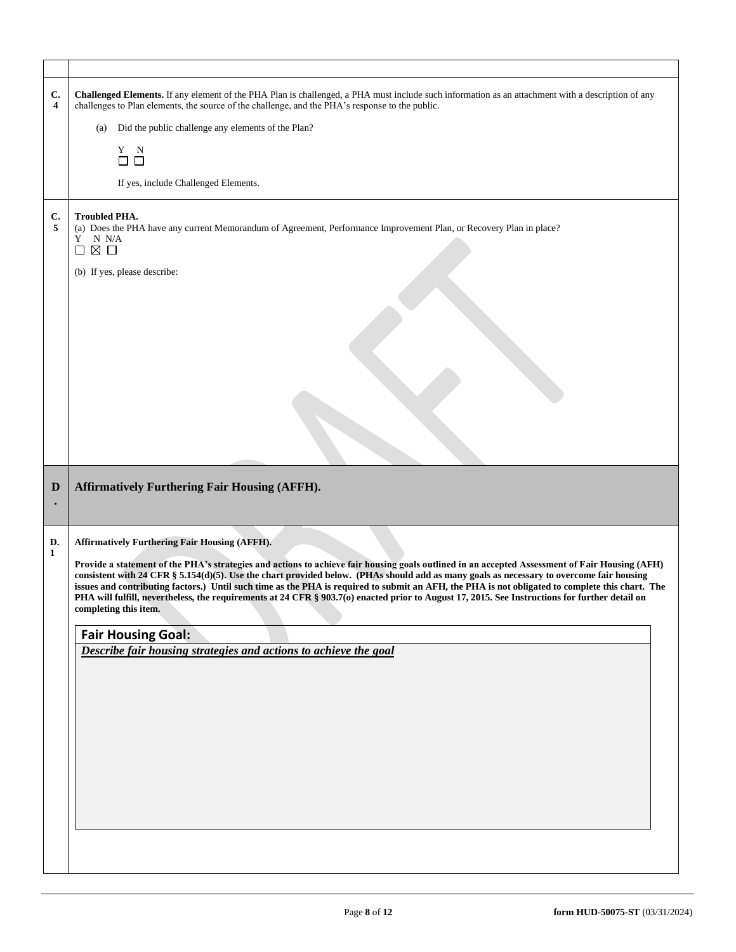| C.<br>4 | Challenged Elements. If any element of the PHA Plan is challenged, a PHA must include such information as an attachment with a description of any<br>challenges to Plan elements, the source of the challenge, and the PHA's response to the public.                                                                                                                                                                                                                                                                                                                                                                     |
|---------|--------------------------------------------------------------------------------------------------------------------------------------------------------------------------------------------------------------------------------------------------------------------------------------------------------------------------------------------------------------------------------------------------------------------------------------------------------------------------------------------------------------------------------------------------------------------------------------------------------------------------|
|         | Did the public challenge any elements of the Plan?<br>(a)                                                                                                                                                                                                                                                                                                                                                                                                                                                                                                                                                                |
|         | $\begin{array}{cc} Y & N \\ \square & \square \end{array}$                                                                                                                                                                                                                                                                                                                                                                                                                                                                                                                                                               |
|         | If yes, include Challenged Elements.                                                                                                                                                                                                                                                                                                                                                                                                                                                                                                                                                                                     |
| C.<br>5 | <b>Troubled PHA.</b><br>(a) Does the PHA have any current Memorandum of Agreement, Performance Improvement Plan, or Recovery Plan in place?<br>$\mathbf Y-\mathbf N$ N/A<br>⊠ □<br>$\Box$                                                                                                                                                                                                                                                                                                                                                                                                                                |
|         | (b) If yes, please describe:                                                                                                                                                                                                                                                                                                                                                                                                                                                                                                                                                                                             |
|         |                                                                                                                                                                                                                                                                                                                                                                                                                                                                                                                                                                                                                          |
|         |                                                                                                                                                                                                                                                                                                                                                                                                                                                                                                                                                                                                                          |
|         |                                                                                                                                                                                                                                                                                                                                                                                                                                                                                                                                                                                                                          |
|         |                                                                                                                                                                                                                                                                                                                                                                                                                                                                                                                                                                                                                          |
|         |                                                                                                                                                                                                                                                                                                                                                                                                                                                                                                                                                                                                                          |
|         |                                                                                                                                                                                                                                                                                                                                                                                                                                                                                                                                                                                                                          |
| D       | <b>Affirmatively Furthering Fair Housing (AFFH).</b>                                                                                                                                                                                                                                                                                                                                                                                                                                                                                                                                                                     |
| D.      | <b>Affirmatively Furthering Fair Housing (AFFH).</b>                                                                                                                                                                                                                                                                                                                                                                                                                                                                                                                                                                     |
| 1       | Provide a statement of the PHA's strategies and actions to achieve fair housing goals outlined in an accepted Assessment of Fair Housing (AFH)<br>consistent with 24 CFR § 5.154(d)(5). Use the chart provided below. (PHAs should add as many goals as necessary to overcome fair housing<br>issues and contributing factors.) Until such time as the PHA is required to submit an AFH, the PHA is not obligated to complete this chart. The<br>PHA will fulfill, nevertheless, the requirements at 24 CFR § 903.7(o) enacted prior to August 17, 2015. See Instructions for further detail on<br>completing this item. |
|         | <b>Fair Housing Goal:</b>                                                                                                                                                                                                                                                                                                                                                                                                                                                                                                                                                                                                |
|         | Describe fair housing strategies and actions to achieve the goal                                                                                                                                                                                                                                                                                                                                                                                                                                                                                                                                                         |
|         |                                                                                                                                                                                                                                                                                                                                                                                                                                                                                                                                                                                                                          |
|         |                                                                                                                                                                                                                                                                                                                                                                                                                                                                                                                                                                                                                          |

 $\mathsf{r}$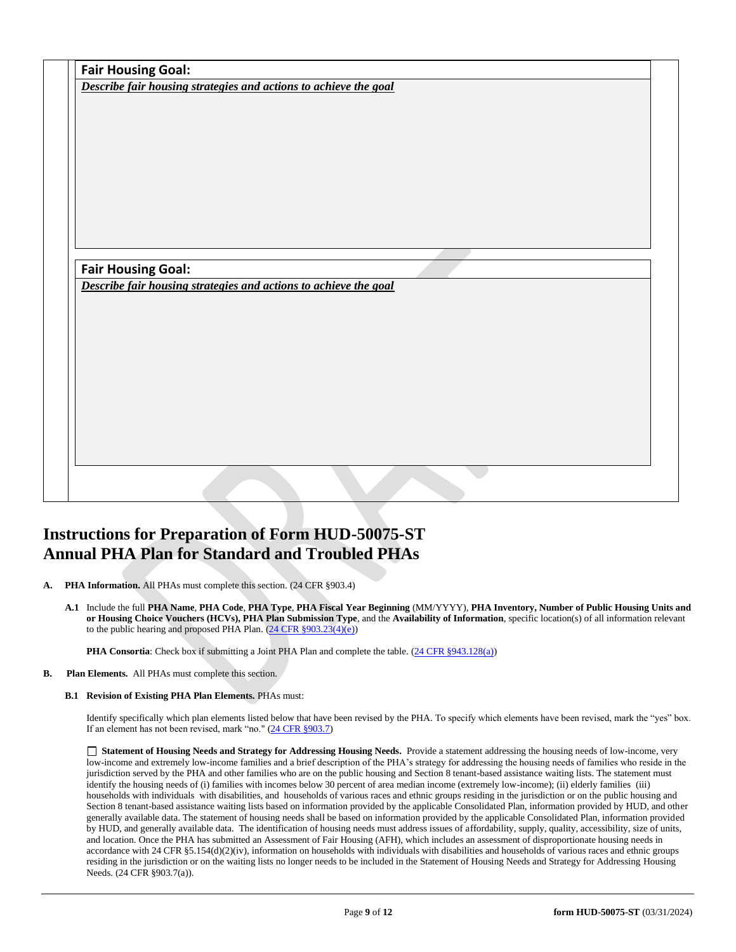|                                                                  | Describe fair housing strategies and actions to achieve the goal |  |  |
|------------------------------------------------------------------|------------------------------------------------------------------|--|--|
|                                                                  |                                                                  |  |  |
|                                                                  |                                                                  |  |  |
|                                                                  |                                                                  |  |  |
|                                                                  |                                                                  |  |  |
|                                                                  |                                                                  |  |  |
|                                                                  |                                                                  |  |  |
|                                                                  |                                                                  |  |  |
|                                                                  |                                                                  |  |  |
|                                                                  |                                                                  |  |  |
|                                                                  |                                                                  |  |  |
|                                                                  |                                                                  |  |  |
| <b>Fair Housing Goal:</b>                                        |                                                                  |  |  |
| Describe fair housing strategies and actions to achieve the goal |                                                                  |  |  |
|                                                                  |                                                                  |  |  |
|                                                                  |                                                                  |  |  |
|                                                                  |                                                                  |  |  |
|                                                                  |                                                                  |  |  |
|                                                                  |                                                                  |  |  |
|                                                                  |                                                                  |  |  |
|                                                                  |                                                                  |  |  |
|                                                                  |                                                                  |  |  |
|                                                                  |                                                                  |  |  |
|                                                                  |                                                                  |  |  |
|                                                                  |                                                                  |  |  |

# **Instructions for Preparation of Form HUD-50075-ST Annual PHA Plan for Standard and Troubled PHAs**

**A. PHA Information.** All PHAs must complete this section. (24 CFR §903.4)

**A.1** Include the full **PHA Name**, **PHA Code**, **PHA Type**, **PHA Fiscal Year Beginning** (MM/YYYY), **PHA Inventory, Number of Public Housing Units and or Housing Choice Vouchers (HCVs), PHA Plan Submission Type**, and the **Availability of Information**, specific location(s) of all information relevant to the public hearing and proposed PHA Plan.  $(24 \text{ CFR } \frac{§903.23(4)(e)}{e})$ 

**PHA Consortia**: Check box if submitting a Joint PHA Plan and complete the table. [\(24 CFR §943.128\(a\)\)](http://ecfr.gpoaccess.gov/cgi/t/text/text-idx?c=ecfr&sid=cc31cf1c3a2b84ba4ead75d35d258f67&rgn=div5&view=text&node=24:4.0.3.1.10&idno=24#24:4.0.3.1.10.2.5.7)

**B. Plan Elements.** All PHAs must complete this section.

## **B.1 Revision of Existing PHA Plan Elements.** PHAs must:

Identify specifically which plan elements listed below that have been revised by the PHA. To specify which elements have been revised, mark the "yes" box. If an element has not been revised, mark "no." [\(24 CFR §903.7\)](http://ecfr.gpoaccess.gov/cgi/t/text/text-idx?c=ecfr&sid=13734845220744370804c20da2294a03&rgn=div5&view=text&node=24:4.0.3.1.3&idno=24#24:4.0.3.1.3.2.5.5)

 **Statement of Housing Needs and Strategy for Addressing Housing Needs.** Provide a statement addressing the housing needs of low-income, very low-income and extremely low-income families and a brief description of the PHA's strategy for addressing the housing needs of families who reside in the jurisdiction served by the PHA and other families who are on the public housing and Section 8 tenant-based assistance waiting lists. The statement must identify the housing needs of (i) families with incomes below 30 percent of area median income (extremely low-income); (ii) elderly families (iii) households with individuals with disabilities, and households of various races and ethnic groups residing in the jurisdiction or on the public housing and Section 8 tenant-based assistance waiting lists based on information provided by the applicable Consolidated Plan, information provided by HUD, and other generally available data. The statement of housing needs shall be based on information provided by the applicable Consolidated Plan, information provided by HUD, and generally available data. The identification of housing needs must address issues of affordability, supply, quality, accessibility, size of units, and location. Once the PHA has submitted an Assessment of Fair Housing (AFH), which includes an assessment of disproportionate housing needs in accordance with 24 CFR  $\S$ 5.154(d)(2)(iv), information on households with individuals with disabilities and households of various races and ethnic groups residing in the jurisdiction or on the waiting lists no longer needs to be included in the Statement of Housing Needs and Strategy for Addressing Housing Needs. (24 CFR §903.7(a)).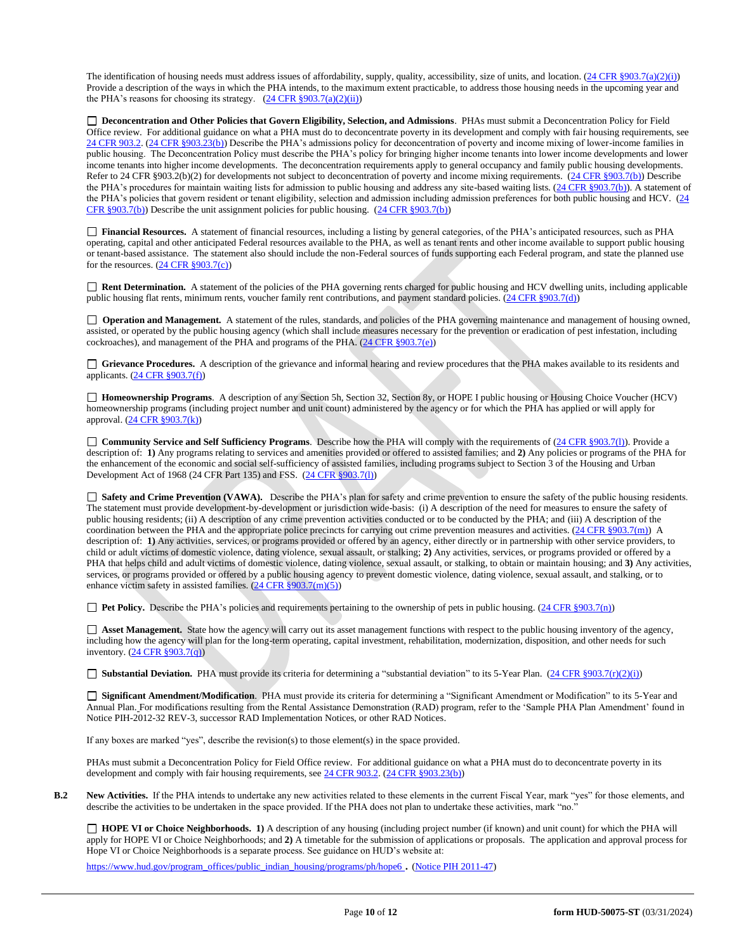The identification of housing needs must address issues of affordability, supply, quality, accessibility, size of units, and location.  $(24 \text{ CFR } \text{§}903.7(a)(2)(i))$ Provide a description of the ways in which the PHA intends, to the maximum extent practicable, to address those housing needs in the upcoming year and the PHA's reasons for choosing its strategy.  $(24 \text{ CFR } \frac{8903.7(a)(2)(ii)}{i})$ 

 **Deconcentration and Other Policies that Govern Eligibility, Selection, and Admissions**. PHAs must submit a Deconcentration Policy for Field Office review. For additional guidance on what a PHA must do to deconcentrate poverty in its development and comply with fair housing requirements, see [24 CFR 903.2.](http://ecfr.gpoaccess.gov/cgi/t/text/text-idx?c=ecfr&sid=31b6a8e6f1110b36cc115eb6e4d5e3b4&rgn=div5&view=text&node=24:4.0.3.1.3&idno=24#24:4.0.3.1.3.1.5.2) [\(24 CFR §903.23\(b\)\)](http://ecfr.gpoaccess.gov/cgi/t/text/text-idx?c=ecfr&sid=13734845220744370804c20da2294a03&rgn=div5&view=text&node=24:4.0.3.1.3&idno=24#24:4.0.3.1.3.2.5.9) Describe the PHA's admissions policy for deconcentration of poverty and income mixing of lower-income families in public housing. The Deconcentration Policy must describe the PHA's policy for bringing higher income tenants into lower income developments and lower income tenants into higher income developments. The deconcentration requirements apply to general occupancy and family public housing developments. Refer to 24 CFR §903.2(b)(2) for developments not subject to deconcentration of poverty and income mixing requirements. [\(24 CFR §903.7\(b\)\)](http://ecfr.gpoaccess.gov/cgi/t/text/text-idx?c=ecfr&sid=b44bf19bef93dd31287608d2c687e271&rgn=div5&view=text&node=24:4.0.3.1.3&idno=24#24:4.0.3.1.3.2.5.5) Describe the PHA's procedures for maintain waiting lists for admission to public housing and address any site-based waiting lists. [\(24 CFR §903.7\(b\)\)](http://ecfr.gpoaccess.gov/cgi/t/text/text-idx?c=ecfr&sid=b44bf19bef93dd31287608d2c687e271&rgn=div5&view=text&node=24:4.0.3.1.3&idno=24#24:4.0.3.1.3.2.5.5). A statement of the PHA's policies that govern resident or tenant eligibility, selection and admission including admission preferences for both public housing and HCV. (24 [CFR §903.7\(b\)\)](http://ecfr.gpoaccess.gov/cgi/t/text/text-idx?c=ecfr&sid=b44bf19bef93dd31287608d2c687e271&rgn=div5&view=text&node=24:4.0.3.1.3&idno=24#24:4.0.3.1.3.2.5.5) Describe the unit assignment policies for public housing. [\(24 CFR §903.7\(b\)\)](http://ecfr.gpoaccess.gov/cgi/t/text/text-idx?c=ecfr&sid=b44bf19bef93dd31287608d2c687e271&rgn=div5&view=text&node=24:4.0.3.1.3&idno=24#24:4.0.3.1.3.2.5.5)

 **Financial Resources.** A statement of financial resources, including a listing by general categories, of the PHA's anticipated resources, such as PHA operating, capital and other anticipated Federal resources available to the PHA, as well as tenant rents and other income available to support public housing or tenant-based assistance. The statement also should include the non-Federal sources of funds supporting each Federal program, and state the planned use for the resources.  $(24 \text{ CFR } \S 903.7(c))$ 

■ **Rent Determination.** A statement of the policies of the PHA governing rents charged for public housing and HCV dwelling units, including applicable public housing flat rents, minimum rents, voucher family rent contributions, and payment standard policies. [\(24 CFR §903.7\(d\)\)](http://ecfr.gpoaccess.gov/cgi/t/text/text-idx?c=ecfr&sid=b44bf19bef93dd31287608d2c687e271&rgn=div5&view=text&node=24:4.0.3.1.3&idno=24#24:4.0.3.1.3.2.5.5)

□ **Operation and Management.** A statement of the rules, standards, and policies of the PHA governing maintenance and management of housing owned, assisted, or operated by the public housing agency (which shall include measures necessary for the prevention or eradication of pest infestation, including cockroaches), and management of the PHA and programs of the PHA. [\(24 CFR §903.7\(e\)\)](http://ecfr.gpoaccess.gov/cgi/t/text/text-idx?c=ecfr&sid=b44bf19bef93dd31287608d2c687e271&rgn=div5&view=text&node=24:4.0.3.1.3&idno=24#24:4.0.3.1.3.2.5.5)

 **Grievance Procedures.** A description of the grievance and informal hearing and review procedures that the PHA makes available to its residents and applicants. [\(24 CFR §903.7\(f\)\)](http://ecfr.gpoaccess.gov/cgi/t/text/text-idx?c=ecfr&sid=b44bf19bef93dd31287608d2c687e271&rgn=div5&view=text&node=24:4.0.3.1.3&idno=24#24:4.0.3.1.3.2.5.5)

 **Homeownership Programs**. A description of any Section 5h, Section 32, Section 8y, or HOPE I public housing or Housing Choice Voucher (HCV) homeownership programs (including project number and unit count) administered by the agency or for which the PHA has applied or will apply for approval. [\(24 CFR §903.7\(k\)\)](http://ecfr.gpoaccess.gov/cgi/t/text/text-idx?c=ecfr&sid=b44bf19bef93dd31287608d2c687e271&rgn=div5&view=text&node=24:4.0.3.1.3&idno=24#24:4.0.3.1.3.2.5.5)

 **Community Service and Self Sufficiency Programs**. Describe how the PHA will comply with the requirements of [\(24 CFR §903.7\(l\)\)](http://ecfr.gpoaccess.gov/cgi/t/text/text-idx?c=ecfr&sid=13734845220744370804c20da2294a03&rgn=div5&view=text&node=24:4.0.3.1.3&idno=24#24:4.0.3.1.3.2.5.5). Provide a description of: **1)** Any programs relating to services and amenities provided or offered to assisted families; and **2)** Any policies or programs of the PHA for the enhancement of the economic and social self-sufficiency of assisted families, including programs subject to Section 3 of the Housing and Urban Development Act of 1968 (24 CFR Part 135) and FSS. [\(24 CFR §903.7\(l\)\)](http://ecfr.gpoaccess.gov/cgi/t/text/text-idx?c=ecfr&sid=b44bf19bef93dd31287608d2c687e271&rgn=div5&view=text&node=24:4.0.3.1.3&idno=24#24:4.0.3.1.3.2.5.5)

 **Safety and Crime Prevention (VAWA).** Describe the PHA's plan for safety and crime prevention to ensure the safety of the public housing residents. The statement must provide development-by-development or jurisdiction wide-basis: (i) A description of the need for measures to ensure the safety of public housing residents; (ii) A description of any crime prevention activities conducted or to be conducted by the PHA; and (iii) A description of the coordination between the PHA and the appropriate police precincts for carrying out crime prevention measures and activities.  $(24 CFR \frac{8903.7(m)}{m})$  A description of: **1)** Any activities, services, or programs provided or offered by an agency, either directly or in partnership with other service providers, to child or adult victims of domestic violence, dating violence, sexual assault, or stalking; **2)** Any activities, services, or programs provided or offered by a PHA that helps child and adult victims of domestic violence, dating violence, sexual assault, or stalking, to obtain or maintain housing; and **3)** Any activities, services, or programs provided or offered by a public housing agency to prevent domestic violence, dating violence, sexual assault, and stalking, or to enhance victim safety in assisted families.  $(24 \text{ CFR } \frac{8903.7 \text{(m)}(5)}{24 \text{ CFR } \frac{8903.7 \text{(m)}(5)}{24 \text{ CFR } \frac{8903.7 \text{(m)}(5)}{24 \text{ CFR } \frac{8903.7 \text{(m)}(5)}{24 \text{ CFR } \frac{8903.7 \text{(m)}(5)}{24 \text{ CFR } \frac{8903.7 \text{(m)}(5)}{24 \text{ CFR } \frac{8903.7 \text$ 

■ **Pet Policy.** Describe the PHA's policies and requirements pertaining to the ownership of pets in public housing. [\(24 CFR §903.7\(n\)\)](http://ecfr.gpoaccess.gov/cgi/t/text/text-idx?c=ecfr&sid=13734845220744370804c20da2294a03&rgn=div5&view=text&node=24:4.0.3.1.3&idno=24#24:4.0.3.1.3.2.5.5)

 **Asset Management.** State how the agency will carry out its asset management functions with respect to the public housing inventory of the agency, including how the agency will plan for the long-term operating, capital investment, rehabilitation, modernization, disposition, and other needs for such inventory.  $(24 \text{ CFR } $903.7(q))$ 

■ **Substantial Deviation.** PHA must provide its criteria for determining a "substantial deviation" to its 5-Year Plan. [\(24 CFR §903.7\(r\)\(2\)\(i\)\)](http://ecfr.gpoaccess.gov/cgi/t/text/text-idx?c=ecfr&sid=13734845220744370804c20da2294a03&rgn=div5&view=text&node=24:4.0.3.1.3&idno=24#24:4.0.3.1.3.2.5.5)

 **Significant Amendment/Modification**. PHA must provide its criteria for determining a "Significant Amendment or Modification" to its 5-Year and Annual Plan. For modifications resulting from the Rental Assistance Demonstration (RAD) program, refer to the 'Sample PHA Plan Amendment' found in Notice PIH-2012-32 REV-3, successor RAD Implementation Notices, or other RAD Notices.

If any boxes are marked "yes", describe the revision(s) to those element(s) in the space provided.

PHAs must submit a Deconcentration Policy for Field Office review. For additional guidance on what a PHA must do to deconcentrate poverty in its development and comply with fair housing requirements, see  $24$  CFR 903.2. [\(24 CFR §903.23\(b\)\)](http://ecfr.gpoaccess.gov/cgi/t/text/text-idx?c=ecfr&sid=13734845220744370804c20da2294a03&rgn=div5&view=text&node=24:4.0.3.1.3&idno=24#24:4.0.3.1.3.2.5.9)

**B.2 New Activities.** If the PHA intends to undertake any new activities related to these elements in the current Fiscal Year, mark "yes" for those elements, and describe the activities to be undertaken in the space provided. If the PHA does not plan to undertake these activities, mark "no."

 **HOPE VI or Choice Neighborhoods. 1)** A description of any housing (including project number (if known) and unit count) for which the PHA will apply for HOPE VI or Choice Neighborhoods; and **2)** A timetable for the submission of applications or proposals. The application and approval process for Hope VI or Choice Neighborhoods is a separate process. See guidance on HUD's website at:

[https://www.hud.gov/program\\_offices/public\\_indian\\_housing/programs/ph/hope6](https://www.hud.gov/program_offices/public_indian_housing/programs/ph/hope6) . [\(Notice PIH 2011-47\)](http://www.hud.gov/offices/adm/hudclips/notices/pih/07pihnotices.cfm)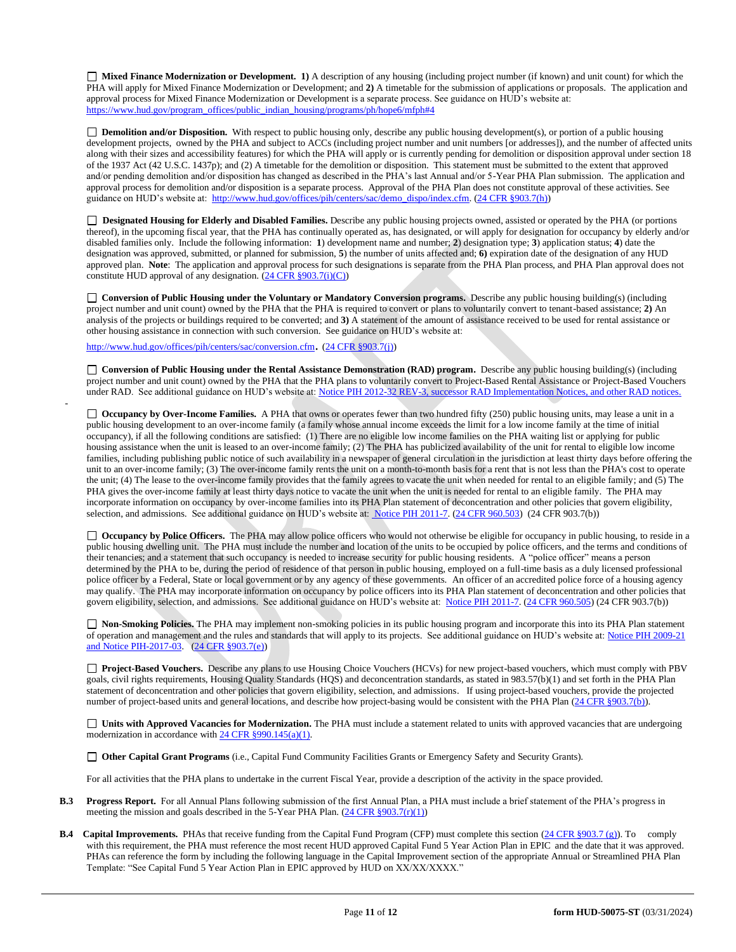**Mixed Finance Modernization or Development. 1)** A description of any housing (including project number (if known) and unit count) for which the PHA will apply for Mixed Finance Modernization or Development; and **2)** A timetable for the submission of applications or proposals. The application and approval process for Mixed Finance Modernization or Development is a separate process. See guidance on HUD's website at: [https://www.hud.gov/program\\_offices/public\\_indian\\_housing/programs/ph/hope6/mfph#4](https://www.hud.gov/program_offices/public_indian_housing/programs/ph/hope6/mfph#4)

□ **Demolition and/or Disposition.** With respect to public housing only, describe any public housing development(s), or portion of a public housing development projects, owned by the PHA and subject to ACCs (including project number and unit numbers [or addresses]), and the number of affected units along with their sizes and accessibility features) for which the PHA will apply or is currently pending for demolition or disposition approval under section 18 of the 1937 Act (42 U.S.C. 1437p); and (2) A timetable for the demolition or disposition. This statement must be submitted to the extent that approved and/or pending demolition and/or disposition has changed as described in the PHA's last Annual and/or 5-Year PHA Plan submission. The application and approval process for demolition and/or disposition is a separate process. Approval of the PHA Plan does not constitute approval of these activities. See guidance on HUD's website at: [http://www.hud.gov/offices/pih/centers/sac/demo\\_dispo/index.cfm.](http://www.hud.gov/offices/pih/centers/sac/demo_dispo/index.cfm) [\(24 CFR §903.7\(h\)\)](http://ecfr.gpoaccess.gov/cgi/t/text/text-idx?c=ecfr&sid=13734845220744370804c20da2294a03&rgn=div5&view=text&node=24:4.0.3.1.3&idno=24#24:4.0.3.1.3.2.5.5)

**Designated Housing for Elderly and Disabled Families.** Describe any public housing projects owned, assisted or operated by the PHA (or portions thereof), in the upcoming fiscal year, that the PHA has continually operated as, has designated, or will apply for designation for occupancy by elderly and/or disabled families only. Include the following information: **1**) development name and number; **2**) designation type; **3**) application status; **4**) date the designation was approved, submitted, or planned for submission, **5**) the number of units affected and; **6)** expiration date of the designation of any HUD approved plan. Note: The application and approval process for such designations is separate from the PHA Plan process, and PHA Plan approval does not constitute HUD approval of any designation.  $(24 \text{ CFR } \text{\textless} 903.7(i)(C))$ 

**Conversion of Public Housing under the Voluntary or Mandatory Conversion programs.** Describe any public housing building(s) (including project number and unit count) owned by the PHA that the PHA is required to convert or plans to voluntarily convert to tenant-based assistance; **2)** An analysis of the projects or buildings required to be converted; and **3)** A statement of the amount of assistance received to be used for rental assistance or other housing assistance in connection with such conversion. See guidance on HUD's website at:

<http://www.hud.gov/offices/pih/centers/sac/conversion.cfm>. [\(24 CFR §903.7\(j\)\)](http://ecfr.gpoaccess.gov/cgi/t/text/text-idx?c=ecfr&sid=13734845220744370804c20da2294a03&rgn=div5&view=text&node=24:4.0.3.1.3&idno=24#24:4.0.3.1.3.2.5.5)

-

**Conversion of Public Housing under the Rental Assistance Demonstration (RAD) program.** Describe any public housing building(s) (including project number and unit count) owned by the PHA that the PHA plans to voluntarily convert to Project-Based Rental Assistance or Project-Based Vouchers under RAD. See additional guidance on HUD's website at: [Notice PIH 2012-32](http://portal.hud.gov/hudportal/HUD?src=/program_offices/administration/hudclips/notices/pih/12pihnotices) REV-3, successor RAD Implementation Notices, and other RAD notices.

□ **Occupancy by Over-Income Families.** A PHA that owns or operates fewer than two hundred fifty (250) public housing units, may lease a unit in a public housing development to an over-income family (a family whose annual income exceeds the limit for a low income family at the time of initial occupancy), if all the following conditions are satisfied: (1) There are no eligible low income families on the PHA waiting list or applying for public housing assistance when the unit is leased to an over-income family; (2) The PHA has publicized availability of the unit for rental to eligible low income families, including publishing public notice of such availability in a newspaper of general circulation in the jurisdiction at least thirty days before offering the unit to an over-income family; (3) The over-income family rents the unit on a month-to-month basis for a rent that is not less than the PHA's cost to operate the unit; (4) The lease to the over-income family provides that the family agrees to vacate the unit when needed for rental to an eligible family; and (5) The PHA gives the over-income family at least thirty days notice to vacate the unit when the unit is needed for rental to an eligible family. The PHA may incorporate information on occupancy by over-income families into its PHA Plan statement of deconcentration and other policies that govern eligibility, selection, and admissions. See additional guidance on HUD's website at[: Notice PIH 2011-7.](http://portal.hud.gov/hudportal/HUD?src=/program_offices/administration/hudclips/notices/pih) [\(24 CFR 960.503\)](http://ecfr.gpoaccess.gov/cgi/t/text/text-idx?c=ecfr&sid=fa64c7c83a160f7c42da881396459a31&rgn=div5&view=text&node=24:4.0.3.1.13&idno=24#24:4.0.3.1.13.5.5.1) (24 CFR 903.7(b))

□ **Occupancy by Police Officers.** The PHA may allow police officers who would not otherwise be eligible for occupancy in public housing, to reside in a public housing dwelling unit. The PHA must include the number and location of the units to be occupied by police officers, and the terms and conditions of their tenancies; and a statement that such occupancy is needed to increase security for public housing residents. A "police officer" means a person determined by the PHA to be, during the period of residence of that person in public housing, employed on a full-time basis as a duly licensed professional police officer by a Federal, State or local government or by any agency of these governments. An officer of an accredited police force of a housing agency may qualify. The PHA may incorporate information on occupancy by police officers into its PHA Plan statement of deconcentration and other policies that govern eligibility, selection, and admissions. See additional guidance on HUD's website at: [Notice PIH 2011-7.](http://portal.hud.gov/hudportal/HUD?src=/program_offices/administration/hudclips/notices/pih) [\(24 CFR 960.505\)](http://ecfr.gpoaccess.gov/cgi/t/text/text-idx?c=ecfr&sid=fa64c7c83a160f7c42da881396459a31&rgn=div5&view=text&node=24:4.0.3.1.13&idno=24#24:4.0.3.1.13.5.5.2) (24 CFR 903.7(b))

 **Non-Smoking Policies.** The PHA may implement non-smoking policies in its public housing program and incorporate this into its PHA Plan statement of operation and management and the rules and standards that will apply to its projects. See additional guidance on HUD's website at[: Notice PIH 2009-21](http://portal.hud.gov/hudportal/HUD?src=/program_offices/administration/hudclips/notices/pih/09pihnotices) and Notice PIH-2017-03. [\(24 CFR §903.7\(e\)\)](http://ecfr.gpoaccess.gov/cgi/t/text/text-idx?c=ecfr&sid=b44bf19bef93dd31287608d2c687e271&rgn=div5&view=text&node=24:4.0.3.1.3&idno=24#24:4.0.3.1.3.2.5.5)

**Project-Based Vouchers.** Describe any plans to use Housing Choice Vouchers (HCVs) for new project-based vouchers, which must comply with PBV goals, civil rights requirements, Housing Quality Standards (HQS) and deconcentration standards, as stated in 983.57(b)(1) and set forth in the PHA Plan statement of deconcentration and other policies that govern eligibility, selection, and admissions. If using project-based vouchers, provide the projected number of project-based units and general locations, and describe how project-basing would be consistent with the PHA Plan [\(24 CFR §903.7\(b\)\)](http://ecfr.gpoaccess.gov/cgi/t/text/text-idx?c=ecfr&sid=b44bf19bef93dd31287608d2c687e271&rgn=div5&view=text&node=24:4.0.3.1.3&idno=24#24:4.0.3.1.3.2.5.5).

 **Units with Approved Vacancies for Modernization.** The PHA must include a statement related to units with approved vacancies that are undergoing modernization in accordance with  $24$  CFR §990.145(a)(1).

**Other Capital Grant Programs** (i.e., Capital Fund Community Facilities Grants or Emergency Safety and Security Grants).

For all activities that the PHA plans to undertake in the current Fiscal Year, provide a description of the activity in the space provided.

- **B.3 Progress Report.** For all Annual Plans following submission of the first Annual Plan, a PHA must include a brief statement of the PHA's progress in meeting the mission and goals described in the 5-Year PHA Plan.  $(24 \text{ CFR } \frac{8903.7(r)(1)}{r})$
- **B.4 Capital Improvements.** PHAs that receive funding from the Capital Fund Program (CFP) must complete this section [\(24 CFR §903.7 \(g\)\)](http://ecfr.gpoaccess.gov/cgi/t/text/text-idx?c=ecfr&sid=0885bb33f96a064e6519e07d66d87fd6&rgn=div5&view=text&node=24:4.0.3.1.3&idno=24#24:4.0.3.1.3.2.5.5). To comply with this requirement, the PHA must reference the most recent HUD approved Capital Fund 5 Year Action Plan in EPIC and the date that it was approved. PHAs can reference the form by including the following language in the Capital Improvement section of the appropriate Annual or Streamlined PHA Plan Template: "See Capital Fund 5 Year Action Plan in EPIC approved by HUD on XX/XX/XXXX."